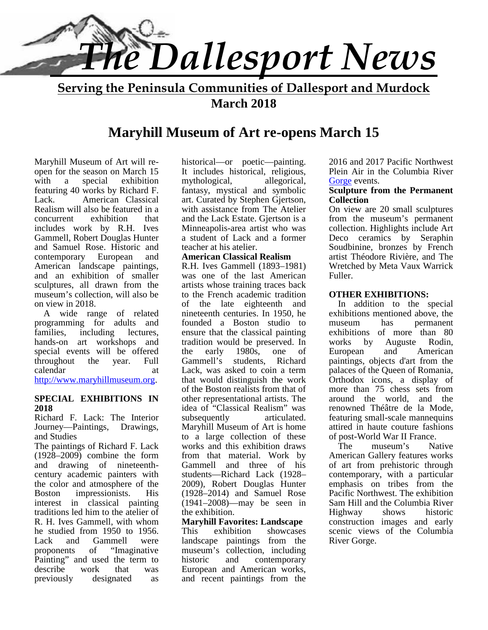

**Serving the Peninsula Communities of Dallesport and Murdock March 2018**

## **Maryhill Museum of Art re-opens March 15**

Maryhill Museum of Art will re open for the season on March 15 with a special exhibition featuring 40 works by Richard F. Lack. American Classical Realism will also be featured in a<br>concurrent exhibition that concurrent exhibition that includes work by R.H. Ives Gammell, Robert Douglas Hunter and Samuel Rose. Historic and contemporary European and American landscape paintings, and an exhibition of smaller sculptures, all drawn from the museum's collection, will also be on view in 2018.

 A wide range of related programming for adults and families, including lectures, hands-on art workshops and special events will be offered throughout the year. Full calendar at http://www.maryhillmuseum.org.

#### **SPECIAL EXHIBITIONS IN 2018**

Richard F. Lack: The Interior Journey—Paintings, Drawings, and Studies

The paintings of Richard F. Lack  $(1928-2009)$  combine the form and drawing of nineteenth century academic painters with the color and atmosphere of the Boston impressionists. His interest in classical painting traditions led him to the atelier of R. H. Ives Gammell, with whom he studied from 1950 to 1956. Lack and Gammell were<br>proponents of "Imaginative of "Imaginative museum<br>used the term to historic Painting" and used the term to describe work that was previously designated as

historical—or poetic—painting. It includes historical, religious, mythological, allegorical, fantasy, mystical and symbolic art. Curated by Stephen Gjertson, with assistance from The Atelier and the Lack Estate. Gjertson is a Minneapolis-area artist who was a student of Lack and a former teacher at his atelier.

#### **American Classical Realism**

R.H. Ives Gammell (1893–1981) was one of the last American artists whose training traces back to the French academic tradition of the late eighteenth and nineteenth centuries. In 1950, he founded a Boston studio to ensure that the classical painting tradition would be preserved. In early  $1980s$ , one of European Gammell's students, Richard Lack, was asked to coin a term that would distinguish the work of the Boston realists from that of other representational artists. The idea of "Classical Realism" was subsequently articulated. Maryhill Museum of Art is home to a large collection of these works and this exhibition draws from that material. Work by Gammell and three of his students—Richard Lack (1928– 2009), Robert Douglas Hunter (1928–2014) and Samuel Rose (1941–2008)—may be seen in the exhibition.

#### **Maryhill Favorites: Landscape**

This exhibition showcases landscape paintings from the museum's collection, including and contemporary European and American works, and recent paintings from the

2016 and 2017 Pacific Northwest Plein Air in the Columbia River Gorge events.

#### **Sculpture from the Permanent Collection**

On view are 20 small sculptures from the museum's permanent collection. Highlights include Art Deco ceramics by Seraphin Soudbinine, bronzes by French artist Théodore Rivière, and The Wretched by Meta Vaux Warrick Fuller.

#### **OTHER EXHIBITIONS:**

 In addition to the special exhibitions mentioned above, the has permanent exhibitions of more than 80 by Auguste Rodin, and American paintings, objects d'art from the palaces of the Queen of Romania, Orthodox icons, a display of more than 75 chess sets from around the world, and the renowned Théâtre de la Mode, featuring small-scale mannequins attired in haute couture fashions of post-World War II France.

 The museum's Native American Gallery features works of art from prehistoric through contemporary, with a particular emphasis on tribes from the Pacific Northwest. The exhibition Sam Hill and the Columbia River Highway shows historic construction images and early scenic views of the Columbia River Gorge.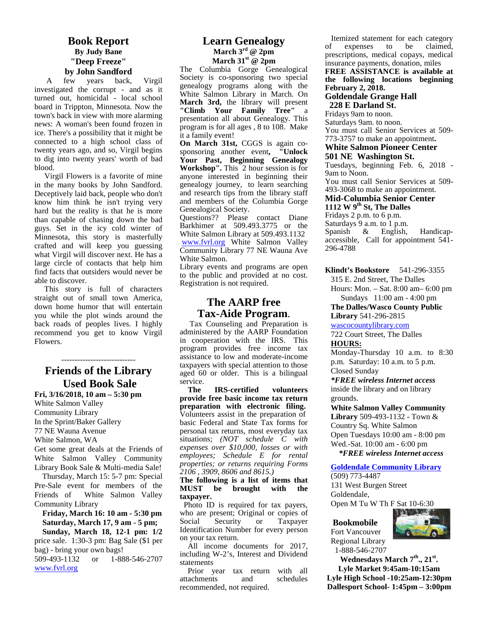#### **Book Report By Judy Bane "Deep Freeze" by John Sandford**

A few years back, Virgil investigated the corrupt - and as it turned out, homicidal - local school board in Trippton, Minnesota. Now the town's back in view with more alarming news: A woman's been found frozen in ice. There's a possibility that it might be connected to a high school class of twenty years ago, and so, Virgil begins to dig into twenty years' worth of bad blood.

Virgil Flowers is a favorite of mine in the many books by John Sandford. Deceptively laid back, people who don't know him think he isn't trying very hard but the reality is that he is more than capable of chasing down the bad guys. Set in the icy cold winter of Minnesota, this story is masterfully crafted and will keep you guessing what Virgil will discover next. He has a large circle of contacts that help him find facts that outsiders would never be able to discover.

This story is full of characters straight out of small town America, down home humor that will entertain you while the plot winds around the back roads of peoples lives. I highly recommend you get to know Virgil Flowers.

## **Friends of the Library Used Book Sale**

----------------------------

Fri,  $3/16/2018$ ,  $10 \text{ am} - 5:30 \text{ pm}$ 

White Salmon Valley Community Library In the Sprint/Baker Gallery 77 NE Wauna Avenue White Salmon, WA

Get some great deals at the Friends of White Salmon Valley Community Library Book Sale & Multi-media Sale!

 Thursday, March 15: 5-7 pm: Special Pre-Sale event for members of the **MUST** Friends of White Salmon Valley Community Library

**Friday, March 16: 10 am - 5:30 pm** who an <br> **Saturday March 17 9 am - 5 pm;** Social  **Saturday, March 17, 9 am - 5 pm;**

 **Sunday, March 18, 12-1 pm: 1/2** price sale. 1:30-3 pm: Bag Sale (\$1 per bag) - bring your own bags! 509-493-1132 or 1-888-546-2707 www.fvrl.org

#### **Learn Genealogy March 3rd @ 2pm March 31st @ 2pm**

The Columbia Gorge Genealogical Society is co-sponsoring two special genealogy programs along with the White Salmon Library in March. On **March 3rd,** the library will present **"Climb Your Family Tree"** a presentation all about Genealogy. This program is for all ages , 8 to 108. Make it a family event!

**On March 31st,** CGGS is again co sponsoring another event**, "Unlock Your Past, Beginning Genealogy Workshop".** This 2 hour session is for anyone interested in beginning their genealogy journey, to learn searching and research tips from the library staff and members of the Columbia Gorge Genealogical Society.

Questions?? Please contact Diane Barkhimer at 509.493.3775 or the White Salmon Library at 509.493.1132 www.fvrl.org White Salmon Valley Community Library 77 NE Wauna Ave White Salmon.

Library events and programs are open to the public and provided at no cost. Registration is not required.

#### **The AARP free Tax-Aide Program**.

 Tax Counseling and Preparation is administered by the AARP Foundation in cooperation with the IRS. This program provides free income tax assistance to low and moderate-income taxpayers with special attention to those aged 60 or older. This is a bilingual service.

**The IRS-certified volunteers provide free basic income tax return preparation with electronic filing.** Volunteers assist in the preparation of basic Federal and State Tax forms for personal tax returns, most everyday tax situations; *(NOT schedule C with expenses over \$10,000, losses or with employees; Schedule E for rental properties; or returns requiring Forms 2106 , 3909, 8606 and 8615.)*

#### **The following is a list of items that** be brought with the **taxpayer.**

Photo ID is required for tax payers, who are present; Original or copies of<br>Social Security or Taxpayer Taxpayer Identification Number for every person on your tax return.

 All income documents for 2017, including W-2's, Interest and Dividend statements

Prior year tax return with all attachments and schedules recommended, not required.

Itemized statement for each category<br>f expenses to be claimed. expenses to be prescriptions, medical copays, medical insurance payments, donation, miles **FREE ASSISTANCE is available at**

**the following locations beginning February 2, 2018.**

## **Goldendale Grange Hall**

 **228 E Darland St.** Fridays 9am to noon. Saturdays 9am. to noon. You must call Senior Services at 509- 773-3757 to make an appointment**.**

#### **White Salmon Pioneer Center**

#### **501 NE Washington St.**

Tuesdays, beginning Feb. 6, 2018 - 9am to Noon.

You must call Senior Services at 509- 493-3068 to make an appointment.

#### **Mid-Columbia Senior Center**

**1112 W 9th St, The Dalles**

Fridays 2 p.m. to 6 p.m.

Saturdays 9 a.m. to 1 p.m.

Spanish & English, Handicap accessible, Call for appointment 541- 296-4788

**Klindt's Bookstore** 541-296-3355

315 E. 2nd Street, The Dalles

Hours: Mon. – Sat. 8:00 am– 6:00 pm Sundays 11:00 am - 4:00 pm

**The Dalles/Wasco County Public Library** 541-296-2815

wascocountylibrary.com

722 Court Street, The Dalles **HOURS:**

Monday-Thursday 10 a.m. to 8:30 p.m. Saturday: 10 a.m. to 5 p.m. Closed Sunday

*\*FREE wireless Internet access* inside the library and on library grounds.

**White Salmon Valley Community Library** 509-493-1132 - Town & Country Sq. White Salmon Open Tuesdays 10:00 am - 8:00 pm Wed.-Sat. 10:00 am - 6:00 pm  *\*FREE wireless Internet access*

**Goldendale Community Library**

(509) 773-4487 131 West Burgen Street Goldendale,

Open M Tu W Th F Sat 10-6:30

#### **Bookmobile**

Fort Vancouver Regional Library 1-888-546-2707



**Lyle Market 9:45am-10:15am Lyle High School -10:25am-12:30pm Dallesport School- 1:45pm – 3:00pm**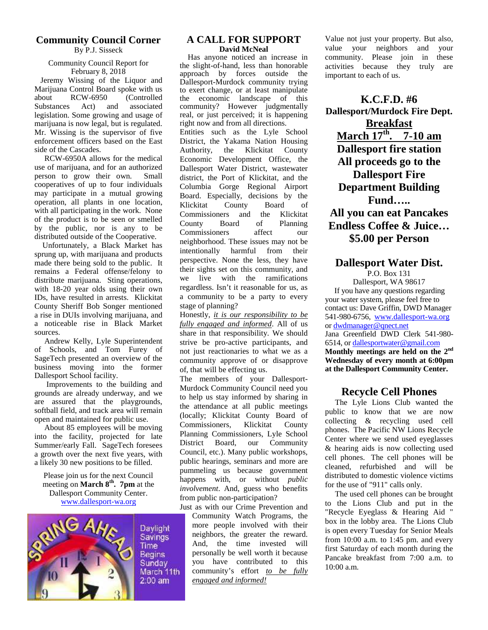#### **Community Council Corner** By P.J. Sisseck

#### Community Council Report for February 8, 2018

Jeremy Wissing of the Liquor and Marijuana Control Board spoke with us<br>about RCW-6950 (Controlled about RCW-6950 (Controlled Substances Act) and associated legislation. Some growing and usage of marijuana is now legal, but is regulated. Mr. Wissing is the supervisor of five enforcement officers based on the East side of the Cascades.

RCW-6950A allows for the medical use of marijuana, and for an authorized person to grow their own. Small cooperatives of up to four individuals may participate in a mutual growing operation, all plants in one location, with all participating in the work. None of the product is to be seen or smelled County by the public, nor is any to be distributed outside of the Cooperative.

Unfortunately, a Black Market has sprung up, with marijuana and products made there being sold to the public. It remains a Federal offense/felony to the<br>distribute mentione. Sting energy in the set distribute marijuana. Sting operations, with 18-20 year olds using their own IDs, have resulted in arrests. Klickitat County Sheriff Bob Songer mentioned a rise in DUIs involving marijuana, and a noticeable rise in Black Market sources.

Andrew Kelly, Lyle Superintendent of Schools, and Tom Furey of SageTech presented an overview of the business moving into the former Dallesport School facility.

 Improvements to the building and grounds are already underway, and we are assured that the playgrounds, softball field, and track area will remain open and maintained for public use.

About 85 employees will be moving into the facility, projected for late Summer/early Fall. SageTech foresees a growth over the next five years, with a likely 30 new positions to be filled.

Please join us for the next Council meeting on **March 8<sup>th</sup>. 7pm** at the  $\frac{11}{11}$ Dallesport Community Center. www.dallesport-wa.org



Daylight **Savings Time Begins** Sunday March 11th  $2:00 \text{ am}$ 

#### **A CALL FOR SUPPORT David McNeal**

Has anyone noticed an increase in the slight-of-hand, less than honorable approach by forces outside the Dallesport-Murdock community trying to exert change, or at least manipulate economic landscape of this community? However judgmentally real, or just perceived; it is happening right now and from all directions. Entities such as the Lyle School District, the Yakama Nation Housing Authority, the Klickitat County Economic Development Office, the Dallesport Water District, wastewater district, the Port of Klickitat, and the Columbia Gorge Regional Airport Board. Especially, decisions by the Klickitat County Board of Commissioners and the Klickitat Board of Planning Commissioners affect our neighborhood. These issues may not be intentionally harmful from their perspective. None the less, they have their sights set on this community, and live with the ramifications regardless. Isn't it reasonable for us, as a community to be a party to every stage of planning?

Honestly, *it is our responsibility to be fully engaged and informed*. All of us share in that responsibility. We should strive be pro-active participants, and not just reactionaries to what we as a community approve of or disapprove of, that will be effecting us.

The members of your Dallesport- Murdock Community Council need you to help us stay informed by sharing in the attendance at all public meetings (locally; Klickitat County Board of Commissioners, Klickitat County Planning Commissioners, Lyle School District Board, our Community Council, etc.). Many public workshops, public hearings, seminars and more are pummeling us because government happens with, or without *public involvement*. And, guess who benefits from public non-participation?

Just as with our Crime Prevention and Community Watch Programs, the more people involved with their neighbors, the greater the reward. And, the time invested will personally be well worth it because you have contributed to this community's effort *to be fully engaged and informed!*

Value not just your property. But also, value your neighbors and your community. Please join in these activities because they truly are important to each of us.

**K.C.F.D. #6 Dallesport/Murdock Fire Dept. Breakfast March 17th . 7-10 am Dallesport fire station All proceeds go to the Dallesport Fire Department Building Fund….. All you can eat Pancakes Endless Coffee & Juice… \$5.00 per Person**

#### **Dallesport Water Dist.**

P.O. Box 131 Dallesport, WA 98617 If you have any questions regarding your water system, please feel free to contact us: Dave Griffin, DWD Manager 541-980-6756, www.dallesport-wa.org or dwdmanager@qnect.net Jana Greenfield DWD Clerk 541-980- 6514, or dallesportwater@gmail.com **Monthly meetings are held on the 2nd Wednesday of every month at 6:00pm at the Dallesport Community Center.**

## **Recycle Cell Phones**

The Lyle Lions Club wanted the public to know that we are now collecting & recycling used cell phones. The Pacific NW Lions Recycle Center where we send used eyeglasses & hearing aids is now collecting used cell phones. The cell phones will be cleaned, refurbished and will be distributed to domestic violence victims for the use of "911" calls only.

The used cell phones can be brought to the Lions Club and put in the "Recycle Eyeglass & Hearing Aid " box in the lobby area. The Lions Club is open every Tuesday for Senior Meals from 10:00 a.m. to 1:45 pm. and every first Saturday of each month during the Pancake breakfast from 7:00 a.m. to 10:00 a.m.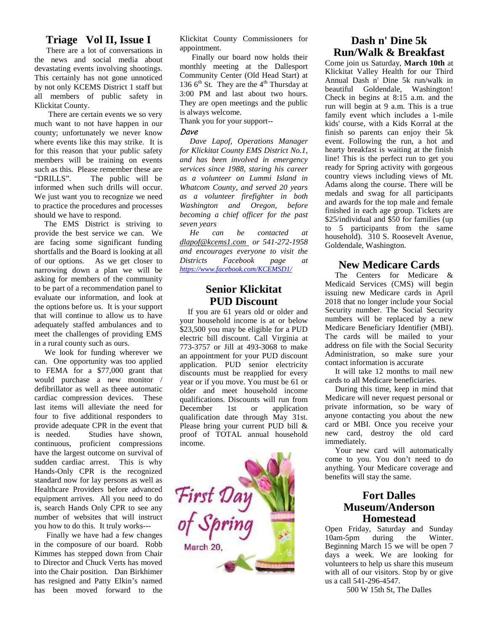#### **Triage Vol II, Issue I**

There are a lot of conversations in the news and social media about devastating events involving shootings. This certainly has not gone unnoticed by not only KCEMS District 1 staff but all members of public safety in Klickitat County.

There are certain events we so very much want to not have happen in our county; unfortunately we never know where events like this may strike. It is for this reason that your public safety members will be training on events such as this. Please remember these are "DRILLS". The public will be informed when such drills will occur. We just want you to recognize we need to practice the procedures and processes should we have to respond.

The EMS District is striving to provide the best service we can. We are facing some significant funding shortfalls and the Board is looking at all of our options. As we get closer to Districts narrowing down a plan we will be asking for members of the community to be part of a recommendation panel to evaluate our information, and look at the options before us. It is your support that will continue to allow us to have adequately staffed ambulances and to meet the challenges of providing EMS in a rural county such as ours.

We look for funding wherever we can. One opportunity was too applied to FEMA for a \$77,000 grant that would purchase a new monitor / defibrillator as well as theee automatic cardiac compression devices. These last items will alleviate the need for December four to five additional responders to provide adequate CPR in the event that is needed. Studies have shown, continuous, proficient compressions have the largest outcome on survival of sudden cardiac arrest. This is why Hands-Only CPR is the recognized standard now for lay persons as well as<br>
Healthcare Providers before advanced<br>
equipment arrives. All you need to do<br>
is, search Hands Only CPR to see any<br>
number of websites that will instruct<br>
you how to do this. It trul Healthcare Providers before advanced equipment arrives. All you need to do is, search Hands Only CPR to see any number of websites that will instruct you how to do this. It truly works---

Finally we have had a few changes in the composure of our board. Robb Kimmes has stepped down from Chair to Director and Chuck Verts has moved into the Chair position. Dan Birkhimer has resigned and Patty Elkin's named has been moved forward to the

Klickitat County Commissioners for appointment.

Finally our board now holds their monthly meeting at the Dallesport Community Center (Old Head Start) at 136  $6<sup>th</sup>$  St. They are the 4<sup>th</sup> Thursday at 3:00 PM and last about two hours. They are open meetings and the public is always welcome.

Thank you for your support--

#### *Dave*

*Dave Lapof, Operations Manager for Klickitat County EMS District No.1, and has been involved in emergency services since 1988, staring his career as a volunteer on Lummi Island in Whatcom County, and served 20 years as a volunteer firefighter in both Washington and Oregon, before becoming a chief officer for the past seven years*

*He can be contacted at dlapof@kcems1.com or 541-272-1958 and encourages everyone to visit the Districts Facebook page at https://www.facebook.com/KCEMSD1/*

#### **Senior Klickitat PUD Discount**

If you are 61 years old or older and your household income is at or below \$23,500 you may be eligible for a PUD electric bill discount. Call Virginia at 773-3757 or Jill at 493-3068 to make an appointment for your PUD discount application. PUD senior electricity discounts must be reapplied for every year or if you move. You must be 61 or older and meet household income qualifications. Discounts will run from 1st or application qualification date through May 31st. Please bring your current PUD bill & proof of TOTAL annual household income.



## **Dash n' Dine 5k Run/Walk & Breakfast**

Come join us Saturday, **March 10th** at Klickitat Valley Health for our Third Annual Dash n' Dine 5k run/walk in beautiful Goldendale, Washington! Check in begins at 8:15 a.m. and the run will begin at 9 a.m. This is a true family event which includes a 1-mile kids' course, with a Kids Korral at the finish so parents can enjoy their 5k event. Following the run, a hot and hearty breakfast is waiting at the finish line! This is the perfect run to get you ready for Spring activity with gorgeous country views including views of Mt. Adams along the course. There will be medals and swag for all participants and awards for the top male and female finished in each age group. Tickets are \$25/individual and \$50 for families (up to 5 participants from the same household). 310 S. Roosevelt Avenue, Goldendale, Washington.

#### **New Medicare Cards**

The Centers for Medicare & Medicaid Services (CMS) will begin issuing new Medicare cards in April 2018 that no longer include your Social Security number. The Social Security numbers will be replaced by a new Medicare Beneficiary Identifier (MBI). The cards will be mailed to your address on file with the Social Security Administration, so make sure your contact information is accurate

It will take 12 months to mail new cards to all Medicare beneficiaries.

During this time, keep in mind that Medicare will never request personal or private information, so be wary of anyone contacting you about the new card or MBI. Once you receive your new card, destroy the old card immediately.

Your new card will automatically come to you. You don't need to do anything. Your Medicare coverage and benefits will stay the same.

## **Fort Dalles Museum/Anderson Homestead**

Open Friday, Saturday and Sunday 10am-5pm during the Winter. Beginning March 15 we will be open 7 days a week. We are looking for volunteers to help us share this museum with all of our visitors. Stop by or give us a call 541-296-4547.

500 W 15th St, The Dalles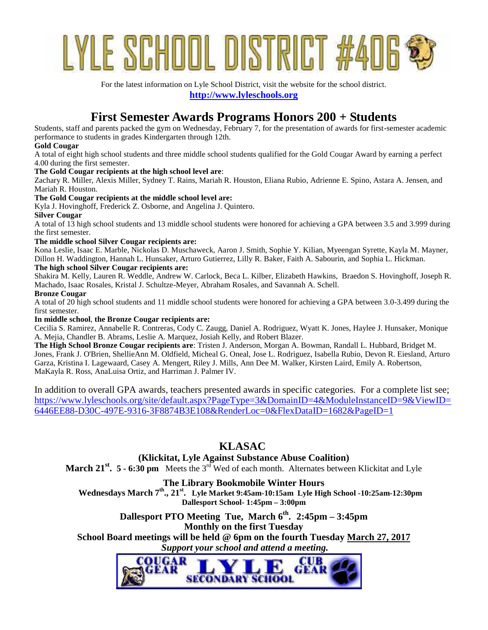# LE SCHOOL DISTRIC

For the latest information on Lyle School District, visit the website for the school district. **http://www.lyleschools.org**

## **First Semester Awards Programs Honors 200 + Students**

Students, staff and parents packed the gym on Wednesday, February 7, for the presentation of awards for first-semester academic performance to students in grades Kindergarten through 12th.

#### **Gold Cougar**

A total of eight high school students and three middle school students qualified for the Gold Cougar Award by earning a perfect 4.00 during the first semester.

#### **The Gold Cougar recipients at the high school level are**:

Zachary R. Miller, Alexis Miller, Sydney T. Rains, Mariah R. Houston, Eliana Rubio, Adrienne E. Spino, Astara A. Jensen, and Mariah R. Houston.

#### **The Gold Cougar recipients at the middle school level are:**

Kyla J. Hovinghoff, Frederick Z. Osborne, and Angelina J. Quintero.

#### **Silver Cougar**

A total of 13 high school students and 13 middle school students were honored for achieving a GPA between 3.5 and 3.999 during the first semester.

#### **The middle school Silver Cougar recipients are:**

Kona Leslie, Isaac E. Marble, Nickolas D. Muschaweck, Aaron J. Smith, Sophie Y. Kilian, Myeengan Syrette, Kayla M. Mayner, Dillon H. Waddington, Hannah L. Hunsaker, Arturo Gutierrez, Lilly R. Baker, Faith A. Sabourin, and Sophia L. Hickman.

#### **The high school Silver Cougar recipients are:**

Shakira M. Kelly, Lauren R. Weddle, Andrew W. Carlock, Beca L. Kilber, Elizabeth Hawkins, Braedon S. Hovinghoff, Joseph R. Machado, Isaac Rosales, Kristal J. Schultze-Meyer, Abraham Rosales, and Savannah A. Schell.

#### **Bronze Cougar**

A total of 20 high school students and 11 middle school students were honored for achieving a GPA between 3.0-3.499 during the first semester.

#### **In middle school**, **the Bronze Cougar recipients are:**

Cecilia S. Ramirez, Annabelle R. Contreras, Cody C. Zaugg, Daniel A. Rodriguez, Wyatt K. Jones, Haylee J. Hunsaker, Monique A. Mejia, Chandler B. Abrams, Leslie A. Marquez, Josiah Kelly, and Robert Blazer.

**The High School Bronze Cougar recipients are**: Tristen J. Anderson, Morgan A. Bowman, Randall L. Hubbard, Bridget M. Jones, Frank J. O'Brien, ShellieAnn M. Oldfield, Micheal G. Oneal, Jose L. Rodriguez, Isabella Rubio, Devon R. Eiesland, Arturo Garza, Kristina I. Lagewaard, Casey A. Mengert, Riley J. Mills, Ann Dee M. Walker, Kirsten Laird, Emily A. Robertson, MaKayla R. Ross, AnaLuisa Ortiz, and Harriman J. Palmer IV.

In addition to overall GPA awards, teachers presented awards in specific categories. For a complete list see; https://www.lyleschools.org/site/default.aspx?PageType=3&DomainID=4&ModuleInstanceID=9&ViewID= 6446EE88-D30C-497E-9316-3F8874B3E108&RenderLoc=0&FlexDataID=1682&PageID=1

## **KLASAC**

#### **(Klickitat, Lyle Against Substance Abuse Coalition)**

**March 21<sup>st</sup>. 5 - 6:30 pm** Meets the 3<sup>rd</sup> Wed of each month. Alternates between Klickitat and Lyle

#### **The Library Bookmobile Winter Hours**

**Wednesdays March 7th ., 21 st. Lyle Market 9:45am-10:15am Lyle High School -10:25am-12:30pm Dallesport School- 1:45pm – 3:00pm**

#### **Dallesport PTO Meeting Tue, March 6th . 2:45pm – 3:45pm Monthly on the first Tuesday**

**School Board meetings will be held @ 6pm on the fourth Tuesday March 27, 2017**  *Support your school and attend a meeting.*

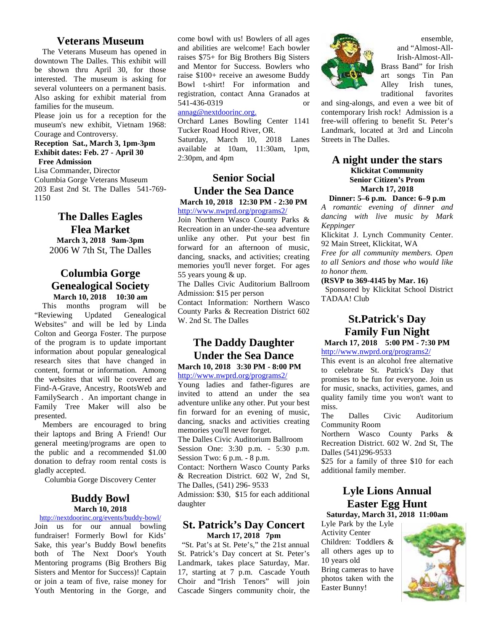#### **Veterans Museum**

The Veterans Museum has opened in downtown The Dalles. This exhibit will be shown thru April 30, for those interested. The museum is asking for several volunteers on a permanent basis. Also asking for exhibit material from families for the museum.

Please join us for a reception for the museum's new exhibit, Vietnam 1968: Courage and Controversy.

#### **Reception Sat., March 3, 1pm-3pm Exhibit dates: Feb. 27 - April 30 Free Admission**

Lisa Commander, Director Columbia Gorge Veterans Museum 203 East 2nd St. The Dalles 541-769- 1150

### **The Dalles Eagles Flea Market March 3, 2018 9am-3pm** 2006 W 7th St, The Dalles

#### **Columbia Gorge Genealogical Society March 10, 2018 10:30 am**

 This months program will be "Reviewing Updated Genealogical Websites" and will be led by Linda Colton and Georga Foster. The purpose of the program is to update important information about popular genealogical research sites that have changed in content, format or information. Among the websites that will be covered are Find-A-Grave, Ancestry, RootsWeb and FamilySearch . An important change in Family Tree Maker will also be presented.

 Members are encouraged to bring their laptops and Bring A Friend! Our general meeting/programs are open to the public and a recommended \$1.00 donation to defray room rental costs is gladly accepted.

Columbia Gorge Discovery Center

#### **Buddy Bowl March 10, 2018**

http://nextdoorinc.org/events/buddy-bowl/ Join us for our annual bowling fundraiser! Formerly Bowl for Kids' Sake, this year's Buddy Bowl benefits both of The Next Door's Youth Mentoring programs (Big Brothers Big Sisters and Mentor for Success)! Captain or join a team of five, raise money for Youth Mentoring in the Gorge, and come bowl with us! Bowlers of all ages and abilities are welcome! Each bowler raises \$75+ for Big Brothers Big Sisters and Mentor for Success. Bowlers who raise \$100+ receive an awesome Buddy Bowl t-shirt! For information and registration, contact Anna Granados at 541-436-0319 or

#### annag@nextdoorinc.org.

Orchard Lanes Bowling Center 1141 Tucker Road Hood River, OR. Saturday, March 10, 2018 Lanes available at 10am, 11:30am, 1pm, 2:30pm, and 4pm

#### **Senior Social Under the Sea Dance March 10, 2018 12:30 PM - 2:30 PM** http://www.nwprd.org/programs2/

Join Northern Wasco County Parks & Recreation in an under-the-sea adventure unlike any other. Put your best fin forward for an afternoon of music, dancing, snacks, and activities; creating memories you'll never forget. For ages 55 years young & up.

The Dalles Civic Auditorium Ballroom Admission: \$15 per person

Contact Information: Northern Wasco County Parks & Recreation District 602 W. 2nd St. The Dalles

## **The Daddy Daughter Under the Sea Dance**

**March 10, 2018 3:30 PM - 8:00 PM** http://www.nwprd.org/programs2/

Young ladies and father-figures are invited to attend an under the sea adventure unlike any other. Put your best fin forward for an evening of music, The dancing, snacks and activities creating memories you'll never forget. The Dalles Civic Auditorium Ballroom Session One: 3:30 p.m. - 5:30 p.m. Session Two: 6 p.m. - 8 p.m. Contact: Northern Wasco County Parks

& Recreation District. 602 W, 2nd St, The Dalles, (541) 296- 9533 Admission: \$30, \$15 for each additional

## daughter

#### **St. Patrick's Day Concert March 17, 2018 7pm**

 "St. Pat's at St. Pete's," the 21st annual St. Patrick's Day concert at St. Peter's Landmark, takes place Saturday, Mar. 17, starting at 7 p.m. Cascade Youth Choir and "Irish Tenors" will join Cascade Singers community choir, the



ensemble, and "Almost-All-Irish-Almost-All- Brass Band" for Irish art songs Tin Pan Alley Irish tunes, traditional favorites

and sing-alongs, and even a wee bit of contemporary Irish rock! Admission is a free-will offering to benefit St. Peter's Landmark, located at 3rd and Lincoln Streets in The Dalles.

#### **A night under the stars Klickitat Community Senior Citizen's Prom March 17, 2018**

**Dinner: 5–6 p.m. Dance: 6–9 p.m**

*A romantic evening of dinner and dancing with live music by Mark Keppinger*

Klickitat J. Lynch Community Center. 92 Main Street, Klickitat, WA

*Free for all community members. Open to all Seniors and those who would like to honor them.*

**(RSVP to 369-4145 by Mar. 16)**

 Sponsored by Klickitat School District TADAA! Club

## **St.Patrick's Day Family Fun Night**

**March 17, 2018 5:00 PM - 7:30 PM** http://www.nwprd.org/programs2/

This event is an alcohol free alternative to celebrate St. Patrick's Day that promises to be fun for everyone. Join us for music, snacks, activities, games, and quality family time you won't want to miss.

Dalles Civic Auditorium Community Room

Northern Wasco County Parks & Recreation District. 602 W. 2nd St, The Dalles (541)296-9533

\$25 for a family of three \$10 for each additional family member.

## **Lyle Lions Annual Easter Egg Hunt**

**Saturday, March 31, 2018 11:00am**

Lyle Park by the Lyle Activity Center Children: Toddlers & all others ages up to 10 years old Bring cameras to have photos taken with the Easter Bunny!

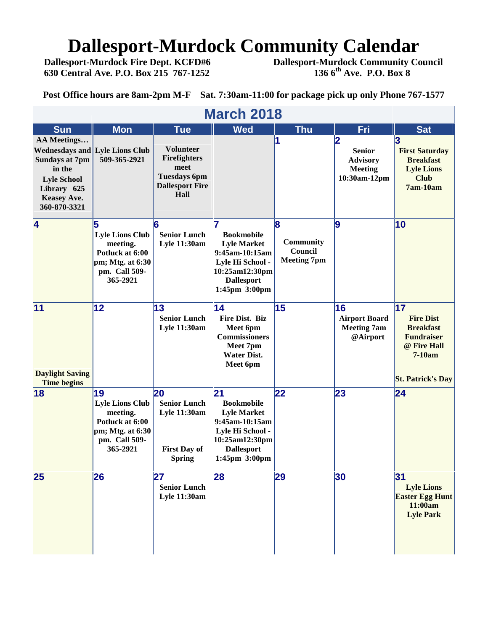## **Dallesport-Murdock Community Calendar**<br>Dallesport-Murdock Fire Dept. KCFD#6 Dallesport-Murdock Community Co

 **Dallesport-Murdock Fire Dept. KCFD#6 Dallesport-Murdock Community Council 630 Central Ave. P.O. Box 215 767-1252 136 6th Ave. P.O. Box 8**

**Post Office hours are 8am-2pm M-F Sat. 7:30am-11:00 for package pick up only Phone 767-1577**

| <b>March 2018</b>                                                                                                                |                                                                                                              |                                                                                                          |                                                                                                                                             |                                                  |                                                                         |                                                                                                                      |  |  |  |
|----------------------------------------------------------------------------------------------------------------------------------|--------------------------------------------------------------------------------------------------------------|----------------------------------------------------------------------------------------------------------|---------------------------------------------------------------------------------------------------------------------------------------------|--------------------------------------------------|-------------------------------------------------------------------------|----------------------------------------------------------------------------------------------------------------------|--|--|--|
| <b>Sun</b>                                                                                                                       | <b>Mon</b>                                                                                                   | <b>Tue</b>                                                                                               | <b>Wed</b>                                                                                                                                  | <b>Thu</b>                                       | Fri                                                                     | <b>Sat</b>                                                                                                           |  |  |  |
| <b>AA Meetings</b><br><b>Sundays at 7pm</b><br>in the<br><b>Lyle School</b><br>Library 625<br><b>Keasey Ave.</b><br>360-870-3321 | <b>Wednesdays and Lyle Lions Club</b><br>509-365-2921                                                        | <b>Volunteer</b><br><b>Firefighters</b><br>meet<br><b>Tuesdays 6pm</b><br><b>Dallesport Fire</b><br>Hall |                                                                                                                                             |                                                  | 2<br><b>Senior</b><br><b>Advisory</b><br><b>Meeting</b><br>10:30am-12pm | <b>First Saturday</b><br><b>Breakfast</b><br><b>Lyle Lions</b><br><b>Club</b><br>7am-10am                            |  |  |  |
| $\overline{\mathbf{4}}$                                                                                                          | 5<br><b>Lyle Lions Club</b><br>meeting.<br>Potluck at 6:00<br>pm; Mtg. at 6:30<br>pm. Call 509-<br>365-2921  | 6<br><b>Senior Lunch</b><br><b>Lyle 11:30am</b>                                                          | <b>Bookmobile</b><br><b>Lyle Market</b><br>9:45am-10:15am<br>Lyle Hi School -<br>10:25am12:30pm<br><b>Dallesport</b><br>1:45pm 3:00pm       | 18<br>Community<br>Council<br><b>Meeting 7pm</b> | 9                                                                       | 10                                                                                                                   |  |  |  |
| 11<br><b>Daylight Saving</b><br><b>Time begins</b>                                                                               | $\overline{12}$                                                                                              | 13<br><b>Senior Lunch</b><br><b>Lyle 11:30am</b>                                                         | 14<br>Fire Dist. Biz<br>Meet 6pm<br><b>Commissioners</b><br>Meet 7pm<br><b>Water Dist.</b><br>Meet 6pm                                      | 15                                               | 16<br><b>Airport Board</b><br><b>Meeting 7am</b><br>@Airport            | 17<br><b>Fire Dist</b><br><b>Breakfast</b><br><b>Fundraiser</b><br>@ Fire Hall<br>7-10am<br><b>St. Patrick's Day</b> |  |  |  |
| 18                                                                                                                               | 19<br><b>Lyle Lions Club</b><br>meeting.<br>Potluck at 6:00<br>pm; Mtg. at 6:30<br>pm. Call 509-<br>365-2921 | 20<br><b>Senior Lunch</b><br><b>Lyle 11:30am</b><br><b>First Day of</b><br><b>Spring</b>                 | 21<br><b>Bookmobile</b><br><b>Lyle Market</b><br>9:45am-10:15am<br>Lyle Hi School -<br>10:25am12:30pm<br><b>Dallesport</b><br>1:45pm 3:00pm | 22                                               | 23                                                                      | 24                                                                                                                   |  |  |  |
| 25                                                                                                                               | 26                                                                                                           | 27<br><b>Senior Lunch</b><br>Lyle 11:30am                                                                | 28                                                                                                                                          | 29                                               | 30                                                                      | 31<br><b>Lyle Lions</b><br><b>Easter Egg Hunt</b><br>11:00am<br><b>Lyle Park</b>                                     |  |  |  |